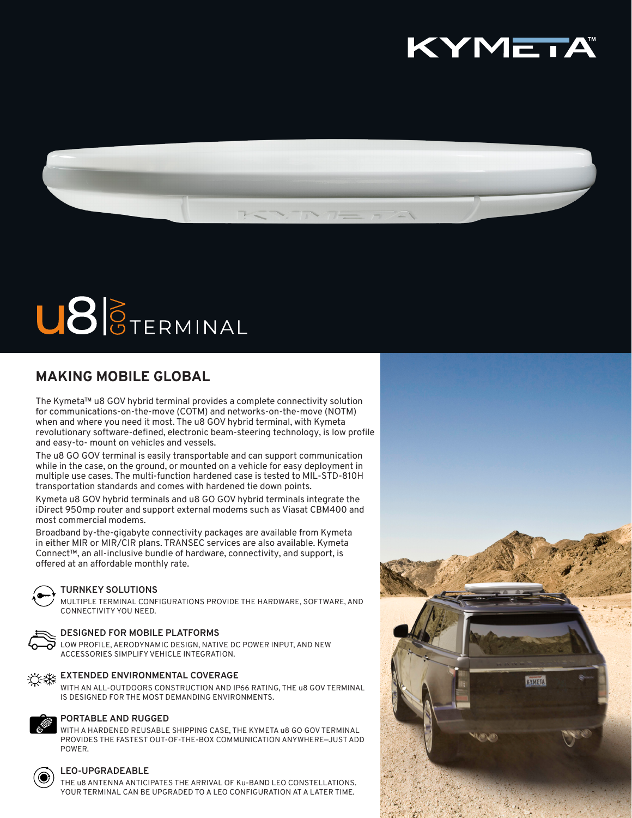



# U86TERMINAL

### **MAKING MOBILE GLOBAL**

The Kymeta™ u8 GOV hybrid terminal provides a complete connectivity solution for communications-on-the-move (COTM) and networks-on-the-move (NOTM) when and where you need it most. The u8 GOV hybrid terminal, with Kymeta revolutionary software-defined, electronic beam-steering technology, is low profile and easy-to- mount on vehicles and vessels.

The u8 GO GOV terminal is easily transportable and can support communication while in the case, on the ground, or mounted on a vehicle for easy deployment in multiple use cases. The multi-function hardened case is tested to MIL-STD-810H transportation standards and comes with hardened tie down points.

Kymeta u8 GOV hybrid terminals and u8 GO GOV hybrid terminals integrate the iDirect 950mp router and support external modems such as Viasat CBM400 and most commercial modems.

Broadband by-the-gigabyte connectivity packages are available from Kymeta in either MIR or MIR/CIR plans. TRANSEC services are also available. Kymeta Connect™, an all-inclusive bundle of hardware, connectivity, and support, is offered at an affordable monthly rate.



### **TURNKEY SOLUTIONS**

MULTIPLE TERMINAL CONFIGURATIONS PROVIDE THE HARDWARE, SOFTWARE, AND CONNECTIVITY YOU NEED.



### **DESIGNED FOR MOBILE PLATFORMS**

LOW PROFILE, AERODYNAMIC DESIGN, NATIVE DC POWER INPUT, AND NEW ACCESSORIES SIMPLIFY VEHICLE INTEGRATION.



WITH AN ALL-OUTDOORS CONSTRUCTION AND IP66 RATING, THE u8 GOV TERMINAL IS DESIGNED FOR THE MOST DEMANDING ENVIRONMENTS.



### **PORTABLE AND RUGGED**

WITH A HARDENED REUSABLE SHIPPING CASE, THE KYMETA u8 GO GOV TERMINAL PROVIDES THE FASTEST OUT-OF-THE-BOX COMMUNICATION ANYWHERE—JUST ADD POWER.



### **LEO-UPGRADEABLE**

THE u8 ANTENNA ANTICIPATES THE ARRIVAL OF Ku-BAND LEO CONSTELLATIONS. YOUR TERMINAL CAN BE UPGRADED TO A LEO CONFIGURATION AT A LATER TIME.